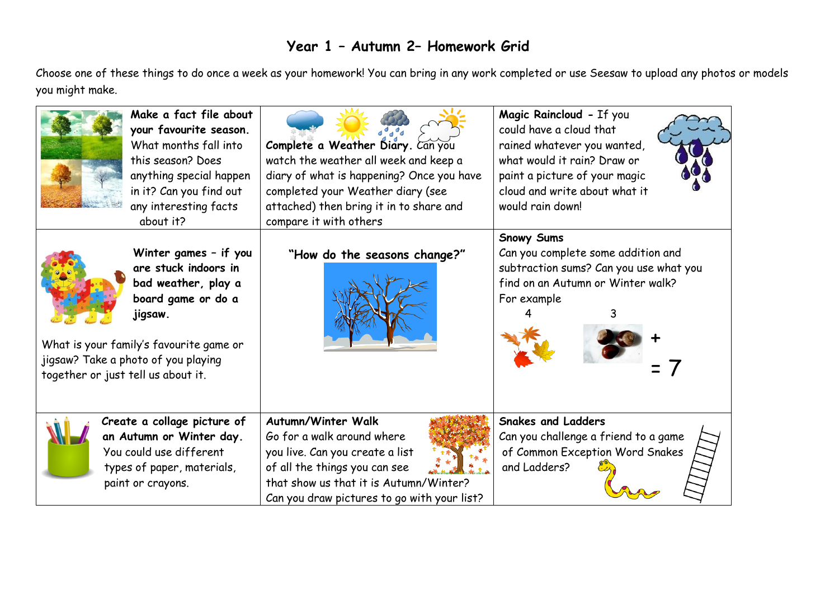## **Year 1 – Autumn 2– Homework Grid**

Choose one of these things to do once a week as your homework! You can bring in any work completed or use Seesaw to upload any photos or models you might make.

|                                    | Make a fact file about<br>your favourite season.<br>What months fall into<br>this season? Does<br>anything special happen<br>in it? Can you find out<br>any interesting facts<br>about it? | Complete a Weather Diary. Can you<br>watch the weather all week and keep a<br>diary of what is happening? Once you have<br>completed your Weather diary (see<br>attached) then bring it in to share and<br>compare it with others | Magic Raincloud - If you<br>could have a cloud that<br>rained whatever you wanted,<br>what would it rain? Draw or<br>paint a picture of your magic<br>cloud and write about what it<br>would rain down! |
|------------------------------------|--------------------------------------------------------------------------------------------------------------------------------------------------------------------------------------------|-----------------------------------------------------------------------------------------------------------------------------------------------------------------------------------------------------------------------------------|---------------------------------------------------------------------------------------------------------------------------------------------------------------------------------------------------------|
| together or just tell us about it. | Winter games - if you<br>are stuck indoors in<br>bad weather, play a<br>board game or do a<br>jigsaw.<br>What is your family's favourite game or<br>jigsaw? Take a photo of you playing    | "How do the seasons change?"                                                                                                                                                                                                      | <b>Snowy Sums</b><br>Can you complete some addition and<br>subtraction sums? Can you use what you<br>find on an Autumn or Winter walk?<br>For example                                                   |
|                                    | Create a collage picture of<br>an Autumn or Winter day.<br>You could use different<br>types of paper, materials,<br>paint or crayons.                                                      | Autumn/Winter Walk<br>Go for a walk around where<br>you live. Can you create a list<br>of all the things you can see<br>that show us that it is Autumn/Winter?<br>Can you draw pictures to go with your list?                     | <b>Snakes and Ladders</b><br>Can you challenge a friend to a game<br>of Common Exception Word Snakes<br>and Ladders?                                                                                    |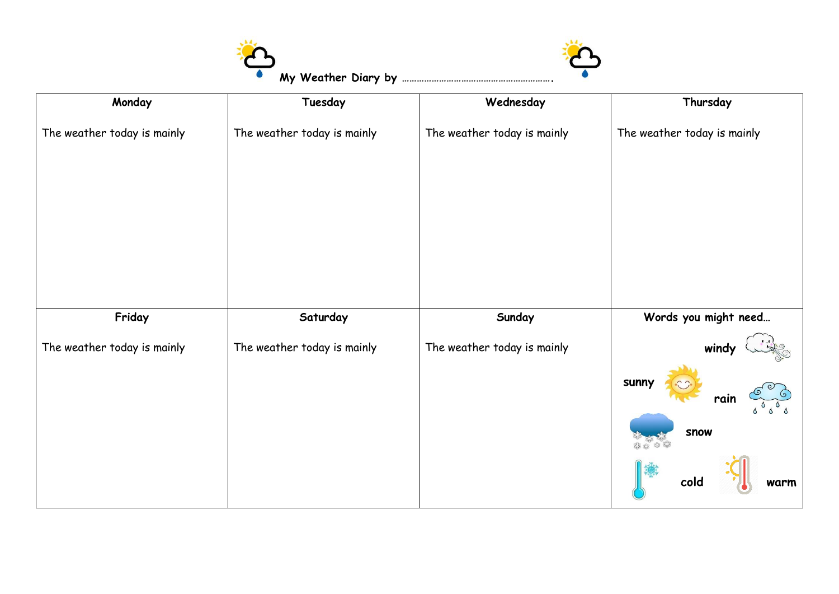



| Monday                      | Tuesday                     | Wednesday                   | Thursday                                      |  |
|-----------------------------|-----------------------------|-----------------------------|-----------------------------------------------|--|
| The weather today is mainly | The weather today is mainly | The weather today is mainly | The weather today is mainly                   |  |
| Friday                      | Saturday                    | Sunday                      | Words you might need                          |  |
| The weather today is mainly | The weather today is mainly | The weather today is mainly | wind<br>sunny<br>rain<br>snow<br>cold<br>warm |  |